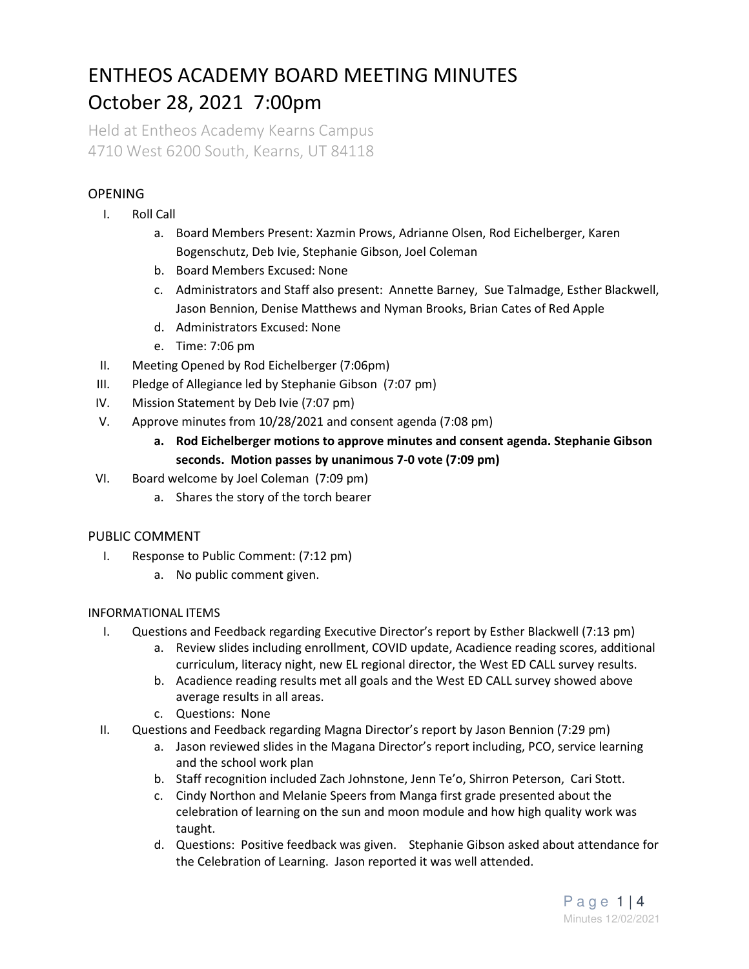# ENTHEOS ACADEMY BOARD MEETING MINUTES October 28, 2021 7:00pm

Held at Entheos Academy Kearns Campus 4710 West 6200 South, Kearns, UT 84118

## **OPENING**

- I. Roll Call
	- a. Board Members Present: Xazmin Prows, Adrianne Olsen, Rod Eichelberger, Karen Bogenschutz, Deb Ivie, Stephanie Gibson, Joel Coleman
	- b. Board Members Excused: None
	- c. Administrators and Staff also present: Annette Barney, Sue Talmadge, Esther Blackwell, Jason Bennion, Denise Matthews and Nyman Brooks, Brian Cates of Red Apple
	- d. Administrators Excused: None
	- e. Time: 7:06 pm
- II. Meeting Opened by Rod Eichelberger (7:06pm)
- III. Pledge of Allegiance led by Stephanie Gibson (7:07 pm)
- IV. Mission Statement by Deb Ivie (7:07 pm)
- V. Approve minutes from 10/28/2021 and consent agenda (7:08 pm)
	- **a. Rod Eichelberger motions to approve minutes and consent agenda. Stephanie Gibson seconds. Motion passes by unanimous 7-0 vote (7:09 pm)**
- VI. Board welcome by Joel Coleman (7:09 pm)
	- a. Shares the story of the torch bearer

### PUBLIC COMMENT

- I. Response to Public Comment: (7:12 pm)
	- a. No public comment given.

### INFORMATIONAL ITEMS

- I. Questions and Feedback regarding Executive Director's report by Esther Blackwell (7:13 pm)
	- a. Review slides including enrollment, COVID update, Acadience reading scores, additional curriculum, literacy night, new EL regional director, the West ED CALL survey results.
	- b. Acadience reading results met all goals and the West ED CALL survey showed above average results in all areas.
	- c. Questions: None
- II. Questions and Feedback regarding Magna Director's report by Jason Bennion (7:29 pm)
	- a. Jason reviewed slides in the Magana Director's report including, PCO, service learning and the school work plan
	- b. Staff recognition included Zach Johnstone, Jenn Te'o, Shirron Peterson, Cari Stott.
	- c. Cindy Northon and Melanie Speers from Manga first grade presented about the celebration of learning on the sun and moon module and how high quality work was taught.
	- d. Questions: Positive feedback was given. Stephanie Gibson asked about attendance for the Celebration of Learning. Jason reported it was well attended.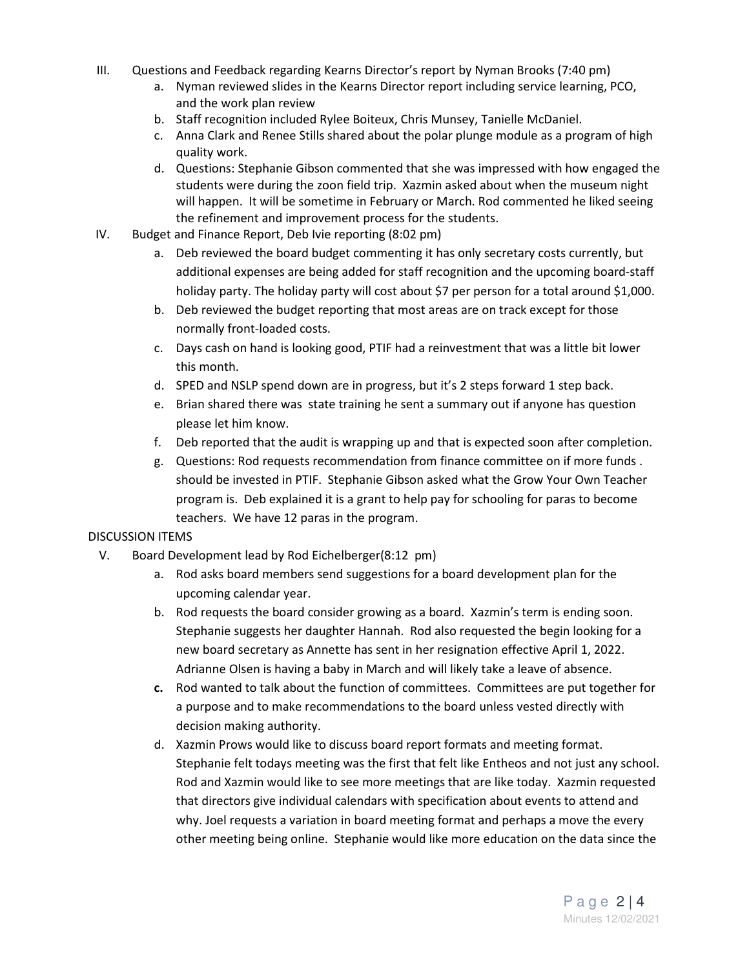- III. Questions and Feedback regarding Kearns Director's report by Nyman Brooks (7:40 pm)
	- a. Nyman reviewed slides in the Kearns Director report including service learning, PCO, and the work plan review
	- b. Staff recognition included Rylee Boiteux, Chris Munsey, Tanielle McDaniel.
	- c. Anna Clark and Renee Stills shared about the polar plunge module as a program of high quality work.
	- d. Questions: Stephanie Gibson commented that she was impressed with how engaged the students were during the zoon field trip. Xazmin asked about when the museum night will happen. It will be sometime in February or March. Rod commented he liked seeing the refinement and improvement process for the students.
- IV. Budget and Finance Report, Deb Ivie reporting (8:02 pm)
	- a. Deb reviewed the board budget commenting it has only secretary costs currently, but additional expenses are being added for staff recognition and the upcoming board-staff holiday party. The holiday party will cost about \$7 per person for a total around \$1,000.
	- b. Deb reviewed the budget reporting that most areas are on track except for those normally front-loaded costs.
	- c. Days cash on hand is looking good, PTIF had a reinvestment that was a little bit lower this month.
	- d. SPED and NSLP spend down are in progress, but it's 2 steps forward 1 step back.
	- e. Brian shared there was state training he sent a summary out if anyone has question please let him know.
	- f. Deb reported that the audit is wrapping up and that is expected soon after completion.
	- g. Questions: Rod requests recommendation from finance committee on if more funds . should be invested in PTIF. Stephanie Gibson asked what the Grow Your Own Teacher program is. Deb explained it is a grant to help pay for schooling for paras to become teachers. We have 12 paras in the program.

#### DISCUSSION ITEMS

- V. Board Development lead by Rod Eichelberger(8:12 pm)
	- a. Rod asks board members send suggestions for a board development plan for the upcoming calendar year.
	- b. Rod requests the board consider growing as a board. Xazmin's term is ending soon. Stephanie suggests her daughter Hannah. Rod also requested the begin looking for a new board secretary as Annette has sent in her resignation effective April 1, 2022. Adrianne Olsen is having a baby in March and will likely take a leave of absence.
	- **c.** Rod wanted to talk about the function of committees. Committees are put together for a purpose and to make recommendations to the board unless vested directly with decision making authority.
	- d. Xazmin Prows would like to discuss board report formats and meeting format. Stephanie felt todays meeting was the first that felt like Entheos and not just any school. Rod and Xazmin would like to see more meetings that are like today. Xazmin requested that directors give individual calendars with specification about events to attend and why. Joel requests a variation in board meeting format and perhaps a move the every other meeting being online. Stephanie would like more education on the data since the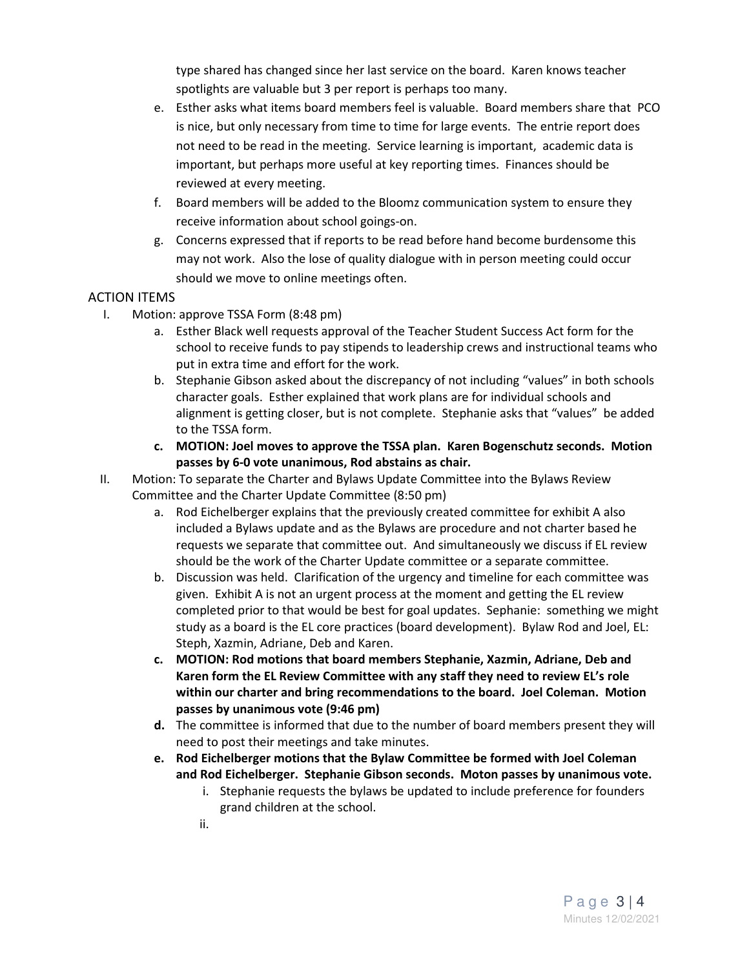type shared has changed since her last service on the board. Karen knows teacher spotlights are valuable but 3 per report is perhaps too many.

- e. Esther asks what items board members feel is valuable. Board members share that PCO is nice, but only necessary from time to time for large events. The entrie report does not need to be read in the meeting. Service learning is important, academic data is important, but perhaps more useful at key reporting times. Finances should be reviewed at every meeting.
- f. Board members will be added to the Bloomz communication system to ensure they receive information about school goings-on.
- g. Concerns expressed that if reports to be read before hand become burdensome this may not work. Also the lose of quality dialogue with in person meeting could occur should we move to online meetings often.

### ACTION ITEMS

- I. Motion: approve TSSA Form (8:48 pm)
	- a. Esther Black well requests approval of the Teacher Student Success Act form for the school to receive funds to pay stipends to leadership crews and instructional teams who put in extra time and effort for the work.
	- b. Stephanie Gibson asked about the discrepancy of not including "values" in both schools character goals. Esther explained that work plans are for individual schools and alignment is getting closer, but is not complete. Stephanie asks that "values" be added to the TSSA form.
	- **c. MOTION: Joel moves to approve the TSSA plan. Karen Bogenschutz seconds. Motion passes by 6-0 vote unanimous, Rod abstains as chair.**
- II. Motion: To separate the Charter and Bylaws Update Committee into the Bylaws Review Committee and the Charter Update Committee (8:50 pm)
	- a. Rod Eichelberger explains that the previously created committee for exhibit A also included a Bylaws update and as the Bylaws are procedure and not charter based he requests we separate that committee out. And simultaneously we discuss if EL review should be the work of the Charter Update committee or a separate committee.
	- b. Discussion was held. Clarification of the urgency and timeline for each committee was given. Exhibit A is not an urgent process at the moment and getting the EL review completed prior to that would be best for goal updates. Sephanie: something we might study as a board is the EL core practices (board development). Bylaw Rod and Joel, EL: Steph, Xazmin, Adriane, Deb and Karen.
	- **c. MOTION: Rod motions that board members Stephanie, Xazmin, Adriane, Deb and Karen form the EL Review Committee with any staff they need to review EL's role within our charter and bring recommendations to the board. Joel Coleman. Motion passes by unanimous vote (9:46 pm)**
	- **d.** The committee is informed that due to the number of board members present they will need to post their meetings and take minutes.
	- **e. Rod Eichelberger motions that the Bylaw Committee be formed with Joel Coleman and Rod Eichelberger. Stephanie Gibson seconds. Moton passes by unanimous vote.** 
		- i. Stephanie requests the bylaws be updated to include preference for founders grand children at the school.
		- ii.